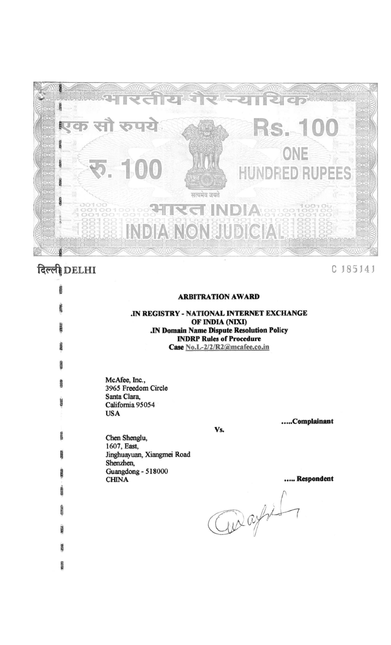

# दिल्ली DELHI

C 185141

| <b>CERE</b> | <b>ARBITRATION AWARD</b>                                            |
|-------------|---------------------------------------------------------------------|
| 337.65      | IN REGISTRY - NATIONAL INTERNET EXCHANGE                            |
| 20033       | OF INDIA (NIXI)<br><b>.IN Domain Name Dispute Resolution Policy</b> |
| DUNG.       | <b>INDRP Rules of Procedure</b><br>Case No.L-2/2/R2@mcafee.co.in    |
| <b>CEEE</b> |                                                                     |
| <b>GILD</b> | McAfee, Inc.,<br>3965 Freedom Circle                                |
| <b>CARE</b> | Santa Clara,<br>California 95054                                    |
|             | <b>USA</b><br>Complainant                                           |
| Rasta       | Vs.<br>Chen Shenglu,<br>1607, East,<br>Jinghuayuan, Xiangmei Road   |
| <b>CARD</b> | Shenzhen,<br>Guangdong - 518000<br>Respondent<br><b>CHINA</b>       |
| 633.63      |                                                                     |
| TANG        |                                                                     |
| <b>NAME</b> | aught                                                               |
| 268         |                                                                     |
| 23732       |                                                                     |
|             |                                                                     |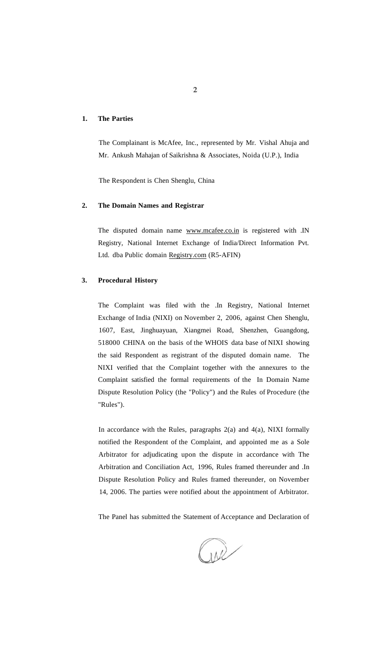# **1. The Parties**

The Complainant is McAfee, Inc., represented by Mr. Vishal Ahuja and Mr. Ankush Mahajan of Saikrishna & Associates, Noida (U.P.), India

The Respondent is Chen Shenglu, China

## **2. The Domain Names and Registrar**

The disputed domain name [www.mcafee.co.in i](http://www.mcafee.co.in)s registered with .IN Registry, National Internet Exchange of India/Direct Information Pvt. Ltd. dba Public domain [Registry.com](http://Registry.com) (R5-AFIN)

# **3. Procedural History**

The Complaint was filed with the .In Registry, National Internet Exchange of India (NIXI) on November 2, 2006, against Chen Shenglu, 1607, East, Jinghuayuan, Xiangmei Road, Shenzhen, Guangdong, 518000 CHINA on the basis of the WHOIS data base of NIXI showing the said Respondent as registrant of the disputed domain name. The NIXI verified that the Complaint together with the annexures to the Complaint satisfied the formal requirements of the In Domain Name Dispute Resolution Policy (the "Policy") and the Rules of Procedure (the "Rules").

In accordance with the Rules, paragraphs  $2(a)$  and  $4(a)$ , NIXI formally notified the Respondent of the Complaint, and appointed me as a Sole Arbitrator for adjudicating upon the dispute in accordance with The Arbitration and Conciliation Act, 1996, Rules framed thereunder and .In Dispute Resolution Policy and Rules framed thereunder, on November 14, 2006. The parties were notified about the appointment of Arbitrator.

The Panel has submitted the Statement of Acceptance and Declaration of

we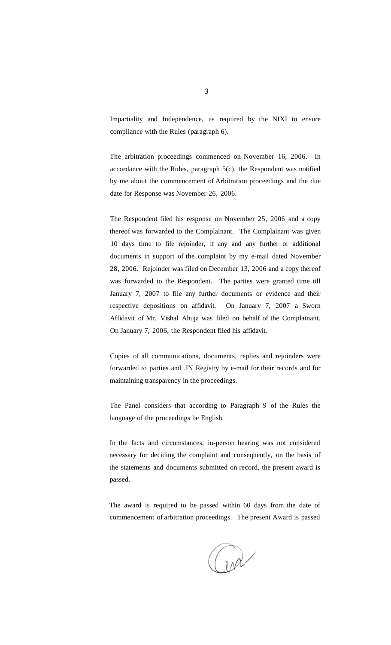Impartiality and Independence, as required by the NIXI to ensure compliance with the Rules (paragraph 6).

The arbitration proceedings commenced on November 16, 2006. In accordance with the Rules, paragraph 5(c), the Respondent was notified by me about the commencement of Arbitration proceedings and the due date for Response was November 26, 2006.

The Respondent filed his response on November 25, 2006 and a copy thereof was forwarded to the Complainant. The Complainant was given 10 days time to file rejoinder, if any and any further or additional documents in support of the complaint by my e-mail dated November 28, 2006. Rejoinder was filed on December 13, 2006 and a copy thereof was forwarded to the Respondent. The parties were granted time till January 7, 2007 to file any further documents or evidence and their respective depositions on affidavit. On January 7, 2007 a Sworn Affidavit of Mr. Vishal Ahuja was filed on behalf of the Complainant. On January 7, 2006, the Respondent filed his affidavit.

Copies of all communications, documents, replies and rejoinders were forwarded to parties and .IN Registry by e-mail for their records and for maintaining transparency in the proceedings.

The Panel considers that according to Paragraph 9 of the Rules the language of the proceedings be English.

In the facts and circumstances, in-person hearing was not considered necessary for deciding the complaint and consequently, on the basis of the statements and documents submitted on record, the present award is passed.

The award is required to be passed within 60 days from the date of commencement of arbitration proceedings. The present Award is passed

and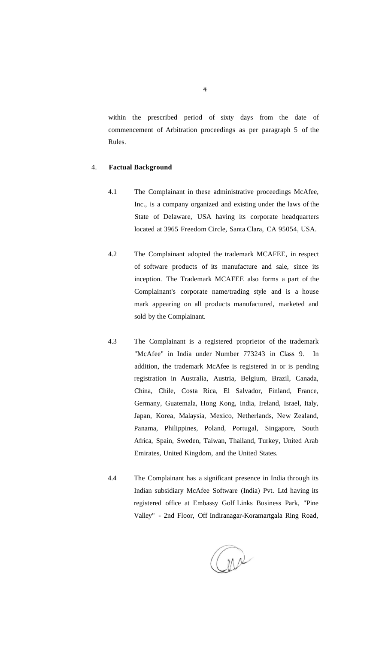within the prescribed period of sixty days from the date of commencement of Arbitration proceedings as per paragraph 5 of the Rules.

## 4. **Factual Background**

- 4.1 The Complainant in these administrative proceedings McAfee, Inc., is a company organized and existing under the laws of the State of Delaware, USA having its corporate headquarters located at 3965 Freedom Circle, Santa Clara, CA 95054, USA.
- 4.2 The Complainant adopted the trademark MCAFEE, in respect of software products of its manufacture and sale, since its inception. The Trademark MCAFEE also forms a part of the Complainant's corporate name/trading style and is a house mark appearing on all products manufactured, marketed and sold by the Complainant.
- 4.3 The Complainant is a registered proprietor of the trademark "McAfee" in India under Number 773243 in Class 9. In addition, the trademark McAfee is registered in or is pending registration in Australia, Austria, Belgium, Brazil, Canada, China, Chile, Costa Rica, El Salvador, Finland, France, Germany, Guatemala, Hong Kong, India, Ireland, Israel, Italy, Japan, Korea, Malaysia, Mexico, Netherlands, New Zealand, Panama, Philippines, Poland, Portugal, Singapore, South Africa, Spain, Sweden, Taiwan, Thailand, Turkey, United Arab Emirates, United Kingdom, and the United States.
- 4.4 The Complainant has a significant presence in India through its Indian subsidiary McAfee Software (India) Pvt. Ltd having its registered office at Embassy Golf Links Business Park, "Pine Valley" - 2nd Floor, Off Indiranagar-Koramartgala Ring Road,

ar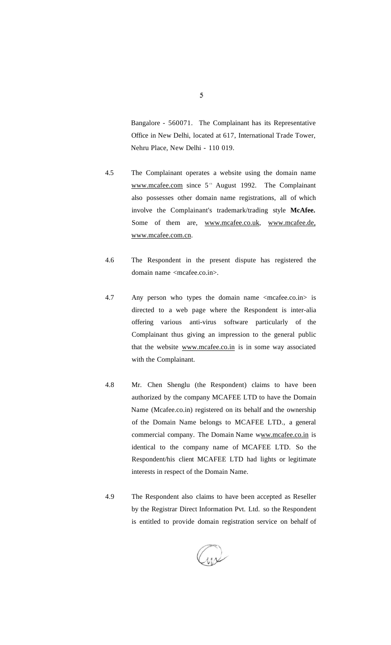Bangalore - 560071. The Complainant has its Representative Office in New Delhi, located at 617, International Trade Tower, Nehru Place, New Delhi - 110 019.

- 4.5 The Complainant operates a website using the domain name [www.mcafee.com](http://www.mcafee.com) since  $5<sup>th</sup>$  August 1992. The Complainant also possesses other domain name registrations, all of which involve the Complainant's trademark/trading style **McAfee.**  Some of them are, [www.mcafee.c](http://www.mcafee)o.uk, www[.mcafee.de,](http://mcafee.de) www.mcafee.com.cn.
- 4.6 The Respondent in the present dispute has registered the domain name <mcafee.co.in>.
- 4.7 Any person who types the domain name <mcafee.co.in> is directed to a web page where the Respondent is inter-alia offering various anti-virus software particularly of the Complainant thus giving an impression to the general public that the website www.mcafee.co.in is in some way associated with the Complainant.
- 4.8 Mr. Chen Shenglu (the Respondent) claims to have been authorized by the company MCAFEE LTD to have the Domain Name (Mcafee.co.in) registered on its behalf and the ownership of the Domain Name belongs to MCAFEE LTD., a general commercial company. The Domain Name www.mcafee.co.in is identical to the company name of MCAFEE LTD. So the Respondent/his client MCAFEE LTD had lights or legitimate interests in respect of the Domain Name.
- 4.9 The Respondent also claims to have been accepted as Reseller by the Registrar Direct Information Pvt. Ltd. so the Respondent is entitled to provide domain registration service on behalf of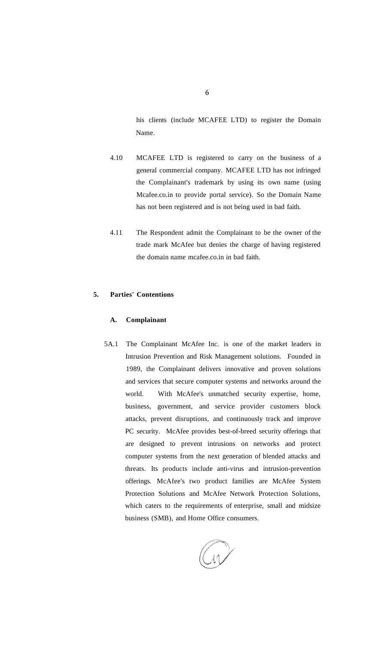his clients (include MCAFEE LTD) to register the Domain Name.

- 4.10 MCAFEE LTD is registered to carry on the business of a general commercial company. MCAFEE LTD has not infringed the Complainant's trademark by using its own name (using Mcafee.co.in to provide portal service). So the Domain Name has not been registered and is not being used in bad faith.
- 4.11 The Respondent admit the Complainant to be the owner of the trade mark McAfee but denies the charge of having registered the domain name mcafee.co.in in bad faith.

# **5. Parties' Contentions**

#### **A. Complainant**

5A.1 The Complainant McAfee Inc. is one of the market leaders in Intrusion Prevention and Risk Management solutions. Founded in 1989, the Complainant delivers innovative and proven solutions and services that secure computer systems and networks around the world. With McAfee's unmatched security expertise, home, business, government, and service provider customers block attacks, prevent disruptions, and continuously track and improve PC security. McAfee provides best-of-breed security offerings that are designed to prevent intrusions on networks and protect computer systems from the next generation of blended attacks and threats. Its products include anti-virus and intrusion-prevention offerings. McAfee's two product families are McAfee System Protection Solutions and McAfee Network Protection Solutions, which caters to the requirements of enterprise, small and midsize business (SMB), and Home Office consumers.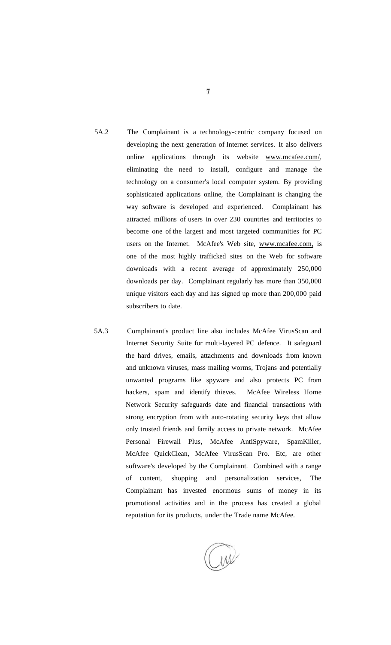- 5A.2 The Complainant is a technology-centric company focused on developing the next generation of Internet services. It also delivers online applications through its website [www.mcafee.com/,](http://wivw.mcafee.com/) eliminating the need to install, configure and manage the technology on a consumer's local computer system. By providing sophisticated applications online, the Complainant is changing the way software is developed and experienced. Complainant has attracted millions of users in over 230 countries and territories to become one of the largest and most targeted communities for PC users on the Internet. McAfee's Web site, [www.mcafee.com,](http://wwiv.mcafee.com) is one of the most highly trafficked sites on the Web for software downloads with a recent average of approximately 250,000 downloads per day. Complainant regularly has more than 350,000 unique visitors each day and has signed up more than 200,000 paid subscribers to date.
- 5A.3 Complainant's product line also includes McAfee VirusScan and Internet Security Suite for multi-layered PC defence. It safeguard the hard drives, emails, attachments and downloads from known and unknown viruses, mass mailing worms, Trojans and potentially unwanted programs like spyware and also protects PC from hackers, spam and identify thieves. McAfee Wireless Home Network Security safeguards date and financial transactions with strong encryption from with auto-rotating security keys that allow only trusted friends and family access to private network. McAfee Personal Firewall Plus, McAfee AntiSpyware, SpamKiller, McAfee QuickClean, McAfee VirusScan Pro. Etc, are other software's developed by the Complainant. Combined with a range of content, shopping and personalization services, The Complainant has invested enormous sums of money in its promotional activities and in the process has created a global reputation for its products, under the Trade name McAfee.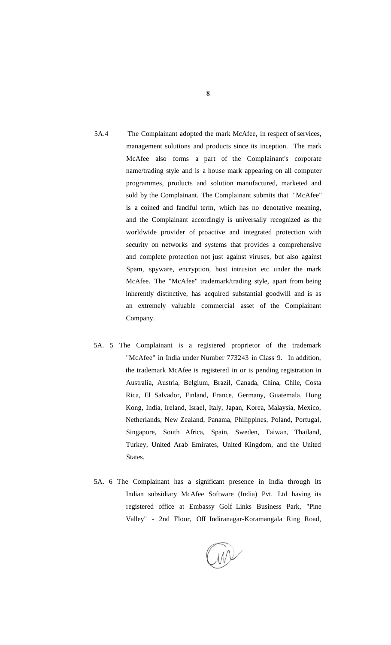- 5A.4 The Complainant adopted the mark McAfee, in respect of services, management solutions and products since its inception. The mark McAfee also forms a part of the Complainant's corporate name/trading style and is a house mark appearing on all computer programmes, products and solution manufactured, marketed and sold by the Complainant. The Complainant submits that "McAfee" is a coined and fanciful term, which has no denotative meaning, and the Complainant accordingly is universally recognized as the worldwide provider of proactive and integrated protection with security on networks and systems that provides a comprehensive and complete protection not just against viruses, but also against Spam, spyware, encryption, host intrusion etc under the mark McAfee. The "McAfee" trademark/trading style, apart from being inherently distinctive, has acquired substantial goodwill and is as an extremely valuable commercial asset of the Complainant Company.
- 5A. 5 The Complainant is a registered proprietor of the trademark "McAfee" in India under Number 773243 in Class 9. In addition, the trademark McAfee is registered in or is pending registration in Australia, Austria, Belgium, Brazil, Canada, China, Chile, Costa Rica, El Salvador, Finland, France, Germany, Guatemala, Hong Kong, India, Ireland, Israel, Italy, Japan, Korea, Malaysia, Mexico, Netherlands, New Zealand, Panama, Philippines, Poland, Portugal, Singapore, South Africa, Spain, Sweden, Taiwan, Thailand, Turkey, United Arab Emirates, United Kingdom, and the United States.
- 5A. 6 The Complainant has a significant presence in India through its Indian subsidiary McAfee Software (India) Pvt. Ltd having its registered office at Embassy Golf Links Business Park, "Pine Valley" - 2nd Floor, Off Indiranagar-Koramangala Ring Road,

8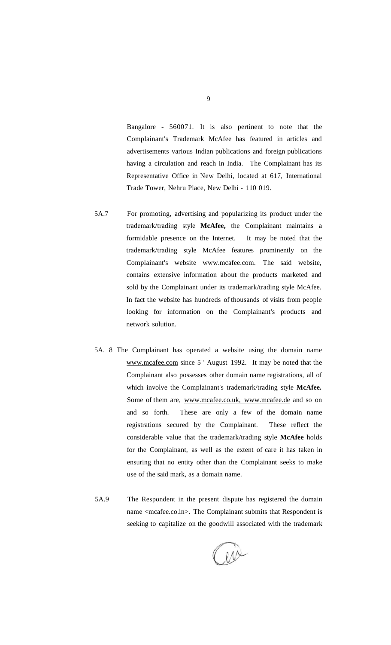Bangalore - 560071. It is also pertinent to note that the Complainant's Trademark McAfee has featured in articles and advertisements various Indian publications and foreign publications having a circulation and reach in India. The Complainant has its Representative Office in New Delhi, located at 617, International Trade Tower, Nehru Place, New Delhi - 110 019.

- 5A.7 For promoting, advertising and popularizing its product under the trademark/trading style **McAfee,** the Complainant maintains a formidable presence on the Internet. It may be noted that the trademark/trading style McAfee features prominently on the Complainant's website [www.mcafee.com.](http://www.mcafee.com) The said website, contains extensive information about the products marketed and sold by the Complainant under its trademark/trading style McAfee. In fact the website has hundreds of thousands of visits from people looking for information on the Complainant's products and network solution.
- 5A. 8 The Complainant has operated a website using the domain name [www.mcafee.com s](http://www.mcafee.com)ince  $5<sup>th</sup>$  August 1992. It may be noted that the Complainant also possesses other domain name registrations, all of which involve the Complainant's trademark/trading style **McAfee.**  Some of them are, www.mcafee.co.uk, [www.mcafee.de a](http://www.mcafee.de)nd so on and so forth. These are only a few of the domain name registrations secured by the Complainant. These reflect the considerable value that the trademark/trading style **McAfee** holds for the Complainant, as well as the extent of care it has taken in ensuring that no entity other than the Complainant seeks to make use of the said mark, as a domain name.
- 5A.9 The Respondent in the present dispute has registered the domain name <mcafee.co.in>. The Complainant submits that Respondent is seeking to capitalize on the goodwill associated with the trademark

w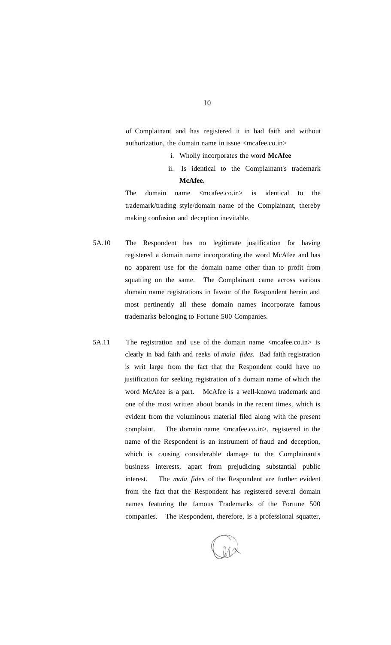of Complainant and has registered it in bad faith and without authorization, the domain name in issue <mcafee.co.in>

- i. Wholly incorporates the word **McAfee**
- ii. Is identical to the Complainant's trademark **McAfee.**

The domain name  $\langle$ mcafee.co.in> is identical to the trademark/trading style/domain name of the Complainant, thereby making confusion and deception inevitable.

- 5A.10 The Respondent has no legitimate justification for having registered a domain name incorporating the word McAfee and has no apparent use for the domain name other than to profit from squatting on the same. The Complainant came across various domain name registrations in favour of the Respondent herein and most pertinently all these domain names incorporate famous trademarks belonging to Fortune 500 Companies.
- 5A.11 The registration and use of the domain name <mcafee.co.in> is clearly in bad faith and reeks of *mala fides.* Bad faith registration is writ large from the fact that the Respondent could have no justification for seeking registration of a domain name of which the word McAfee is a part. McAfee is a well-known trademark and one of the most written about brands in the recent times, which is evident from the voluminous material filed along with the present complaint. The domain name <mcafee.co.in>, registered in the name of the Respondent is an instrument of fraud and deception, which is causing considerable damage to the Complainant's business interests, apart from prejudicing substantial public interest. The *mala fides* of the Respondent are further evident from the fact that the Respondent has registered several domain names featuring the famous Trademarks of the Fortune 500 companies. The Respondent, therefore, is a professional squatter,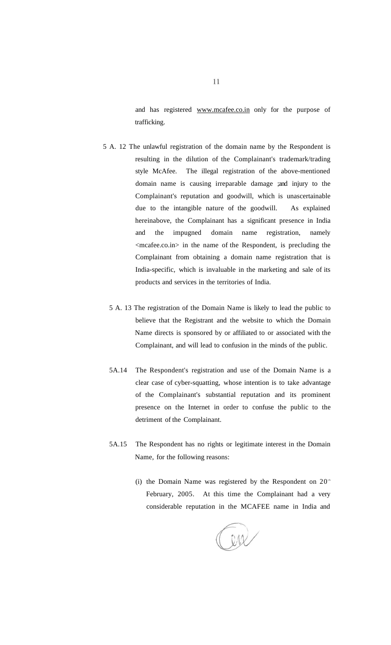and has registered [www.mcafee.co.in o](http://www.mcafee.co.in)nly for the purpose of trafficking.

- 5 A. 12 The unlawful registration of the domain name by the Respondent is resulting in the dilution of the Complainant's trademark/trading style McAfee. The illegal registration of the above-mentioned domain name is causing irreparable damage ;and injury to the Complainant's reputation and goodwill, which is unascertainable due to the intangible nature of the goodwill. As explained hereinabove, the Complainant has a significant presence in India and the impugned domain name registration, namely <mcafee.co.in> in the name of the Respondent, is precluding the Complainant from obtaining a domain name registration that is India-specific, which is invaluable in the marketing and sale of its products and services in the territories of India.
	- 5 A. 13 The registration of the Domain Name is likely to lead the public to believe that the Registrant and the website to which the Domain Name directs is sponsored by or affiliated to or associated with the Complainant, and will lead to confusion in the minds of the public.
	- 5A.14 The Respondent's registration and use of the Domain Name is a clear case of cyber-squatting, whose intention is to take advantage of the Complainant's substantial reputation and its prominent presence on the Internet in order to confuse the public to the detriment of the Complainant.
	- 5A.15 The Respondent has no rights or legitimate interest in the Domain Name, for the following reasons:
		- (i) the Domain Name was registered by the Respondent on  $20<sup>th</sup>$ February, 2005. At this time the Complainant had a very considerable reputation in the MCAFEE name in India and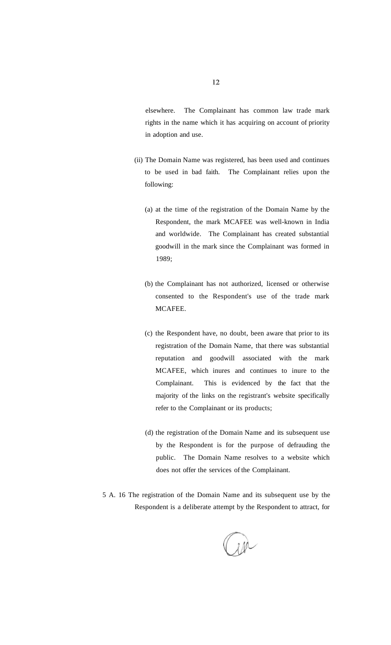elsewhere. The Complainant has common law trade mark rights in the name which it has acquiring on account of priority in adoption and use.

- (ii) The Domain Name was registered, has been used and continues to be used in bad faith. The Complainant relies upon the following:
	- (a) at the time of the registration of the Domain Name by the Respondent, the mark MCAFEE was well-known in India and worldwide. The Complainant has created substantial goodwill in the mark since the Complainant was formed in 1989;
	- (b) the Complainant has not authorized, licensed or otherwise consented to the Respondent's use of the trade mark MCAFEE.
	- (c) the Respondent have, no doubt, been aware that prior to its registration of the Domain Name, that there was substantial reputation and goodwill associated with the mark MCAFEE, which inures and continues to inure to the Complainant. This is evidenced by the fact that the majority of the links on the registrant's website specifically refer to the Complainant or its products;
	- (d) the registration of the Domain Name and its subsequent use by the Respondent is for the purpose of defrauding the public. The Domain Name resolves to a website which does not offer the services of the Complainant.
- 5 A. 16 The registration of the Domain Name and its subsequent use by the Respondent is a deliberate attempt by the Respondent to attract, for

 $200$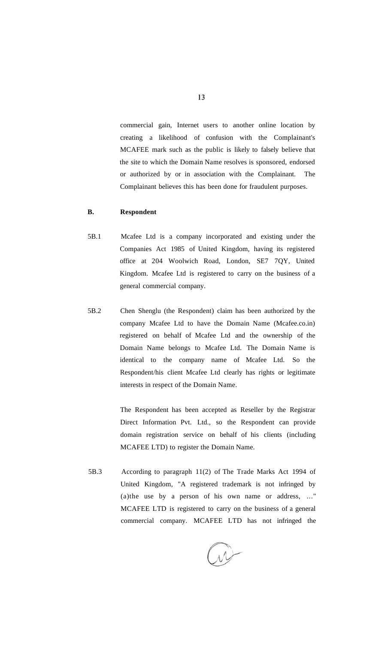commercial gain, Internet users to another online location by creating a likelihood of confusion with the Complainant's MCAFEE mark such as the public is likely to falsely believe that the site to which the Domain Name resolves is sponsored, endorsed or authorized by or in association with the Complainant. The Complainant believes this has been done for fraudulent purposes.

#### **B. Respondent**

- 5B.1 Mcafee Ltd is a company incorporated and existing under the Companies Act 1985 of United Kingdom, having its registered office at 204 Woolwich Road, London, SE7 7QY, United Kingdom. Mcafee Ltd is registered to carry on the business of a general commercial company.
- 5B.2 Chen Shenglu (the Respondent) claim has been authorized by the company Mcafee Ltd to have the Domain Name (Mcafee.co.in) registered on behalf of Mcafee Ltd and the ownership of the Domain Name belongs to Mcafee Ltd. The Domain Name is identical to the company name of Mcafee Ltd. So the Respondent/his client Mcafee Ltd clearly has rights or legitimate interests in respect of the Domain Name.

The Respondent has been accepted as Reseller by the Registrar Direct Information Pvt. Ltd., so the Respondent can provide domain registration service on behalf of his clients (including MCAFEE LTD) to register the Domain Name.

5B.3 According to paragraph 11(2) of The Trade Marks Act 1994 of United Kingdom, "A registered trademark is not infringed by (a)the use by a person of his own name or address, ..." MCAFEE LTD is registered to carry on the business of a general commercial company. MCAFEE LTD has not infringed the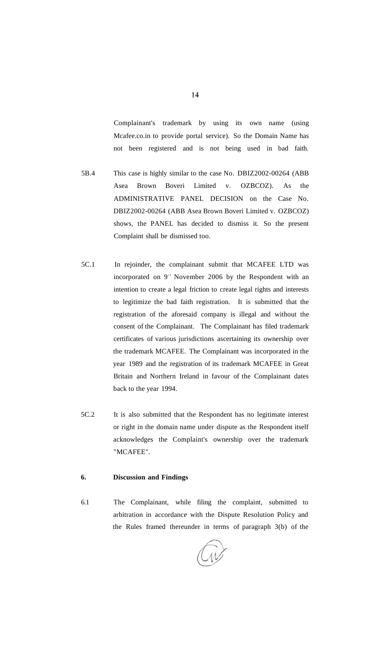Complainant's trademark by using its own name (using Mcafee.co.in to provide portal service). So the Domain Name has not been registered and is not being used in bad faith.

- 5B.4 This case is highly similar to the case No. DBIZ2002-00264 (ABB Asea Brown Boveri Limited v. OZBCOZ). As the ADMINISTRATIVE PANEL DECISION on the Case No. DBIZ2002-00264 (ABB Asea Brown Boveri Limited v. OZBCOZ) shows, the PANEL has decided to dismiss it. So the present Complaint shall be dismissed too.
- 5C.1 In rejoinder, the complainant submit that MCAFEE LTD was incorporated on  $9<sup>th</sup>$  November 2006 by the Respondent with an intention to create a legal friction to create legal rights and interests to legitimize the bad faith registration. It is submitted that the registration of the aforesaid company is illegal and without the consent of the Complainant. The Complainant has filed trademark certificates of various jurisdictions ascertaining its ownership over the trademark MCAFEE. The Complainant was incorporated in the year 1989 and the registration of its trademark MCAFEE in Great Britain and Northern Ireland in favour of the Complainant dates back to the year 1994.
- 5C.2 It is also submitted that the Respondent has no legitimate interest or right in the domain name under dispute as the Respondent itself acknowledges the Complaint's ownership over the trademark "MCAFEE".

# **6. Discussion and Findings**

6.1 The Complainant, while filing the complaint, submitted to arbitration in accordance with the Dispute Resolution Policy and the Rules framed thereunder in terms of paragraph 3(b) of the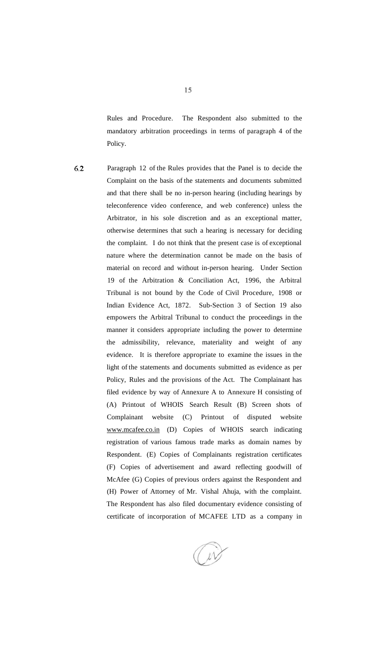Rules and Procedure. The Respondent also submitted to the mandatory arbitration proceedings in terms of paragraph 4 of the Policy.

6.2

Paragraph 12 of the Rules provides that the Panel is to decide the Complaint on the basis of the statements and documents submitted and that there shall be no in-person hearing (including hearings by teleconference video conference, and web conference) unless the Arbitrator, in his sole discretion and as an exceptional matter, otherwise determines that such a hearing is necessary for deciding the complaint. I do not think that the present case is of exceptional nature where the determination cannot be made on the basis of material on record and without in-person hearing. Under Section 19 of the Arbitration & Conciliation Act, 1996, the Arbitral Tribunal is not bound by the Code of Civil Procedure, 1908 or Indian Evidence Act, 1872. Sub-Section 3 of Section 19 also empowers the Arbitral Tribunal to conduct the proceedings in the manner it considers appropriate including the power to determine the admissibility, relevance, materiality and weight of any evidence. It is therefore appropriate to examine the issues in the light of the statements and documents submitted as evidence as per Policy, Rules and the provisions of the Act. The Complainant has filed evidence by way of Annexure A to Annexure H consisting of (A) Printout of WHOIS Search Result (B) Screen shots of Complainant website (C) Printout of disputed website www.mcafee.co.in (D) Copies of WHOIS search indicating registration of various famous trade marks as domain names by Respondent. (E) Copies of Complainants registration certificates (F) Copies of advertisement and award reflecting goodwill of McAfee (G) Copies of previous orders against the Respondent and (H) Power of Attorney of Mr. Vishal Ahuja, with the complaint. The Respondent has also filed documentary evidence consisting of certificate of incorporation of MCAFEE LTD as a company in

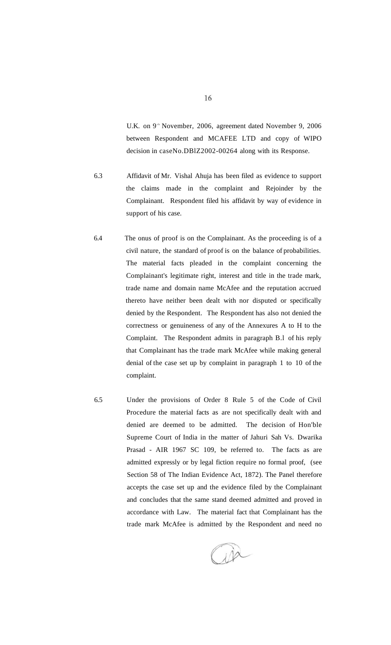U.K. on 9<sup>th</sup> November, 2006, agreement dated November 9, 2006 between Respondent and MCAFEE LTD and copy of WIPO decision in caseNo.DBlZ2002-00264 along with its Response.

- 6.3 Affidavit of Mr. Vishal Ahuja has been filed as evidence to support the claims made in the complaint and Rejoinder by the Complainant. Respondent filed his affidavit by way of evidence in support of his case.
- 6.4 The onus of proof is on the Complainant. As the proceeding is of a civil nature, the standard of proof is on the balance of probabilities. The material facts pleaded in the complaint concerning the Complainant's legitimate right, interest and title in the trade mark, trade name and domain name McAfee and the reputation accrued thereto have neither been dealt with nor disputed or specifically denied by the Respondent. The Respondent has also not denied the correctness or genuineness of any of the Annexures A to H to the Complaint. The Respondent admits in paragraph B.l of his reply that Complainant has the trade mark McAfee while making general denial of the case set up by complaint in paragraph 1 to 10 of the complaint.
- 6.5 Under the provisions of Order 8 Rule 5 of the Code of Civil Procedure the material facts as are not specifically dealt with and denied are deemed to be admitted. The decision of Hon'ble Supreme Court of India in the matter of Jahuri Sah Vs. Dwarika Prasad - AIR 1967 SC 109, be referred to. The facts as are admitted expressly or by legal fiction require no formal proof, (see Section 58 of The Indian Evidence Act, 1872). The Panel therefore accepts the case set up and the evidence filed by the Complainant and concludes that the same stand deemed admitted and proved in accordance with Law. The material fact that Complainant has the trade mark McAfee is admitted by the Respondent and need no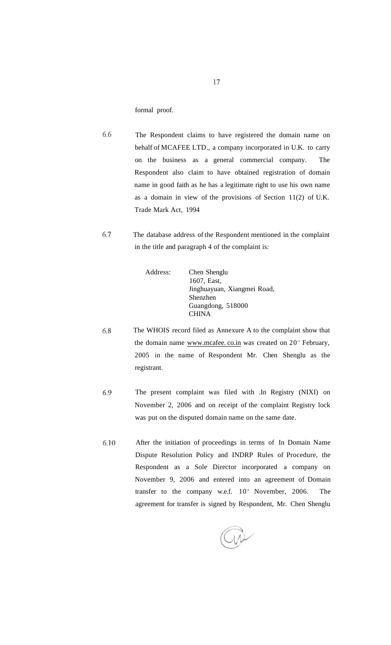formal proof.

6.6 The Respondent claims to have registered the domain name on behalf of MCAFEE LTD., a company incorporated in U.K. to carry on the business as a general commercial company. The Respondent also claim to have obtained registration of domain name in good faith as he has a legitimate right to use his own name as a domain in view of the provisions of Section 11(2) of U.K. Trade Mark Act, 1994

6.7 The database address of the Respondent mentioned in the complaint in the title and paragraph 4 of the complaint is:

| Address: | Chen Shenglu                |
|----------|-----------------------------|
|          | 1607, East,                 |
|          | Jinghuayuan, Xiangmei Road, |
|          | Shenzhen                    |
|          | Guangdong, 518000           |
|          | <b>CHINA</b>                |

- 6.8 The WHOIS record filed as Annexure A to the complaint show that the domain name [www.mcafee.](http://www.mcafee)co.in was created on 20<sup>th</sup> February, 2005 in the name of Respondent Mr. Chen Shenglu as the registrant.
- 6.9 The present complaint was filed with .In Registry (NIXI) on November 2, 2006 and on receipt of the complaint Registry lock was put on the disputed domain name on the same date.
- After the initiation of proceedings in terms of In Domain Name 6.10 Dispute Resolution Policy and INDRP Rules of Procedure, the Respondent as a Sole Director incorporated a company on November 9, 2006 and entered into an agreement of Domain transfer to the company w.e.f.  $10<sup>th</sup>$  November, 2006. The agreement for transfer is signed by Respondent, Mr. Chen Shenglu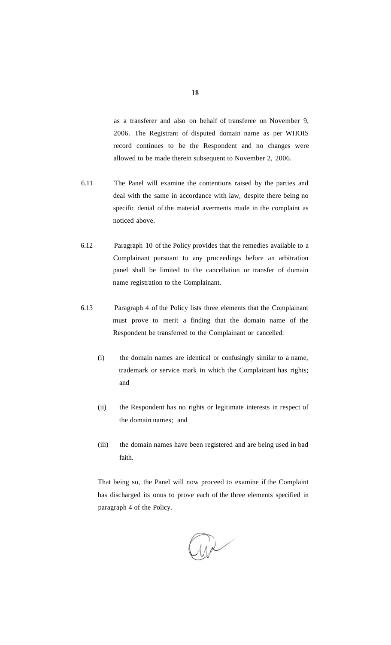as a transferer and also on behalf of transferee on November 9, 2006. The Registrant of disputed domain name as per WHOIS record continues to be the Respondent and no changes were allowed to be made therein subsequent to November 2, 2006.

- 6.11 The Panel will examine the contentions raised by the parties and deal with the same in accordance with law, despite there being no specific denial of the material averments made in the complaint as noticed above.
- 6.12 Paragraph 10 of the Policy provides that the remedies available to a Complainant pursuant to any proceedings before an arbitration panel shall be limited to the cancellation or transfer of domain name registration to the Complainant.
- 6.13 Paragraph 4 of the Policy lists three elements that the Complainant must prove to merit a finding that the domain name of the Respondent be transferred to the Complainant or cancelled:
	- (i) the domain names are identical or confusingly similar to a name, trademark or service mark in which the Complainant has rights; and
	- (ii) the Respondent has no rights or legitimate interests in respect of the domain names; and
	- (iii) the domain names have been registered and are being used in bad faith.

That being so, the Panel will now proceed to examine if the Complaint has discharged its onus to prove each of the three elements specified in paragraph 4 of the Policy.

 $\sum$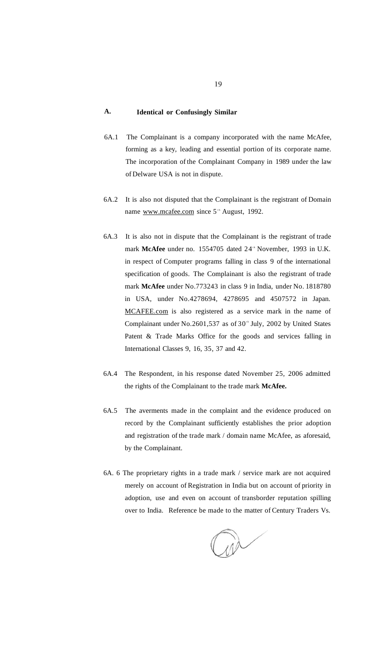# **A. Identical or Confusingly Similar**

- 6A.1 The Complainant is a company incorporated with the name McAfee, forming as a key, leading and essential portion of its corporate name. The incorporation of the Complainant Company in 1989 under the law of Delware USA is not in dispute.
- 6A.2 It is also not disputed that the Complainant is the registrant of Domain name www.mcafee.com since 5<sup>th</sup> August, 1992.
- 6A.3 It is also not in dispute that the Complainant is the registrant of trade mark McAfee under no. 1554705 dated 24<sup>th</sup> November, 1993 in U.K. in respect of Computer programs falling in class 9 of the international specification of goods. The Complainant is also the registrant of trade mark **McAfee** under No.773243 in class 9 in India, under No. 1818780 in USA, under No.4278694, 4278695 and 4507572 in Japan. [MCAFEE.com i](http://MCAFEE.com)s also registered as a service mark in the name of Complainant under  $No.2601,537$  as of  $30^{\circ}$  July, 2002 by United States Patent & Trade Marks Office for the goods and services falling in International Classes 9, 16, 35, 37 and 42.
- 6A.4 The Respondent, in his response dated November 25, 2006 admitted the rights of the Complainant to the trade mark **McAfee.**
- 6A.5 The averments made in the complaint and the evidence produced on record by the Complainant sufficiently establishes the prior adoption and registration of the trade mark / domain name McAfee, as aforesaid, by the Complainant.
- 6A. 6 The proprietary rights in a trade mark / service mark are not acquired merely on account of Registration in India but on account of priority in adoption, use and even on account of transborder reputation spilling over to India. Reference be made to the matter of Century Traders Vs.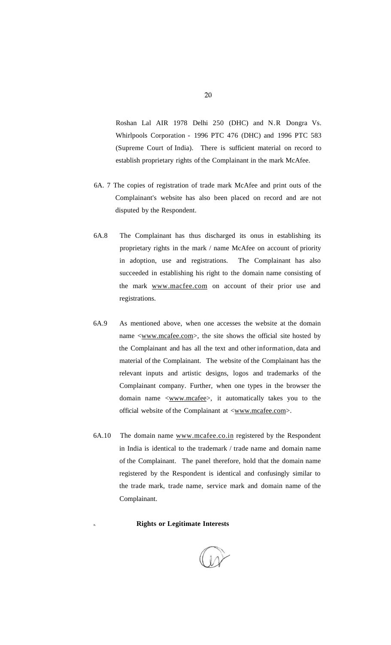Roshan Lal AIR 1978 Delhi 250 (DHC) and N.R Dongra Vs. Whirlpools Corporation - 1996 PTC 476 (DHC) and 1996 PTC 583 (Supreme Court of India). There is sufficient material on record to establish proprietary rights of the Complainant in the mark McAfee.

- 6A. 7 The copies of registration of trade mark McAfee and print outs of the Complainant's website has also been placed on record and are not disputed by the Respondent.
- 6A.8 The Complainant has thus discharged its onus in establishing its proprietary rights in the mark / name McAfee on account of priority in adoption, use and registrations. The Complainant has also succeeded in establishing his right to the domain name consisting of the mark [www.macfee.com o](http://www.macfee.com)n account of their prior use and registrations.
- 6A.9 As mentioned above, when one accesses the website at the domain name <[www.mcafee.com>,](http://www.mcafee.com) the site shows the official site hosted by the Complainant and has all the text and other information, data and material of the Complainant. The website of the Complainant has the relevant inputs and artistic designs, logos and trademarks of the Complainant company. Further, when one types in the browser the domain name <[www.mcafee>](http://www.mcafee), it automatically takes you to the official website of the Complainant at [<www.mcafee.com>.](http://www.mcafee.com)
- 6A.10 The domain name [www.mcafee.co.in r](http://www.mcafee.co.in)egistered by the Respondent in India is identical to the trademark / trade name and domain name of the Complainant. The panel therefore, hold that the domain name registered by the Respondent is identical and confusingly similar to the trade mark, trade name, service mark and domain name of the Complainant.

#### B. **Rights or Legitimate Interests**

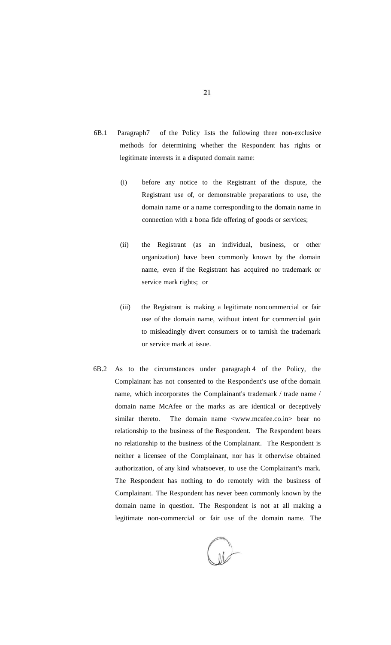- 6B.1 Paragraph7 of the Policy lists the following three non-exclusive methods for determining whether the Respondent has rights or legitimate interests in a disputed domain name:
	- (i) before any notice to the Registrant of the dispute, the Registrant use of, or demonstrable preparations to use, the domain name or a name corresponding to the domain name in connection with a bona fide offering of goods or services;
	- (ii) the Registrant (as an individual, business, or other organization) have been commonly known by the domain name, even if the Registrant has acquired no trademark or service mark rights; or
	- (iii) the Registrant is making a legitimate noncommercial or fair use of the domain name, without intent for commercial gain to misleadingly divert consumers or to tarnish the trademark or service mark at issue.
- 6B.2 As to the circumstances under paragraph 4 of the Policy, the Complainant has not consented to the Respondent's use of the domain name, which incorporates the Complainant's trademark / trade name / domain name McAfee or the marks as are identical or deceptively similar thereto. The domain name <[www.mcafee.co.in>](http://www.mcafee.co.in) bear no relationship to the business of the Respondent. The Respondent bears no relationship to the business of the Complainant. The Respondent is neither a licensee of the Complainant, nor has it otherwise obtained authorization, of any kind whatsoever, to use the Complainant's mark. The Respondent has nothing to do remotely with the business of Complainant. The Respondent has never been commonly known by the domain name in question. The Respondent is not at all making a legitimate non-commercial or fair use of the domain name. The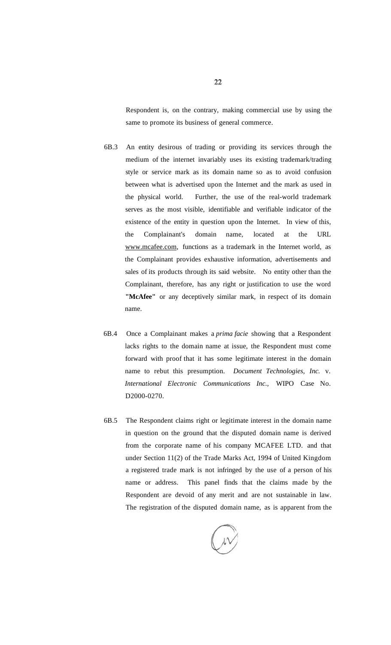Respondent is, on the contrary, making commercial use by using the same to promote its business of general commerce.

- 6B.3 An entity desirous of trading or providing its services through the medium of the internet invariably uses its existing trademark/trading style or service mark as its domain name so as to avoid confusion between what is advertised upon the Internet and the mark as used in the physical world. Further, the use of the real-world trademark serves as the most visible, identifiable and verifiable indicator of the existence of the entity in question upon the Internet. In view of this, the Complainant's domain name, located at the URL [www.mcafee.com,](http://mvw.mcafee.com) functions as a trademark in the Internet world, as the Complainant provides exhaustive information, advertisements and sales of its products through its said website. No entity other than the Complainant, therefore, has any right or justification to use the word **"McAfee"** or any deceptively similar mark, in respect of its domain name.
- 6B.4 Once a Complainant makes a *prima facie* showing that a Respondent lacks rights to the domain name at issue, the Respondent must come forward with proof that it has some legitimate interest in the domain name to rebut this presumption. *Document Technologies, Inc.* v. *International Electronic Communications Inc.,* WIPO Case No. D2000-0270.
- 6B.5 The Respondent claims right or legitimate interest in the domain name in question on the ground that the disputed domain name is derived from the corporate name of his company MCAFEE LTD. and that under Section 11(2) of the Trade Marks Act, 1994 of United Kingdom a registered trade mark is not infringed by the use of a person of his name or address. This panel finds that the claims made by the Respondent are devoid of any merit and are not sustainable in law. The registration of the disputed domain name, as is apparent from the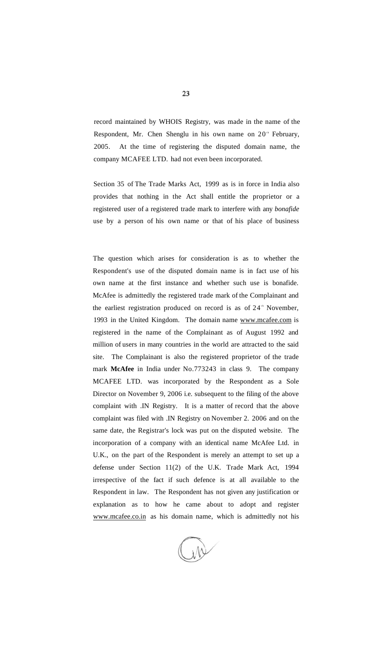record maintained by WHOIS Registry, was made in the name of the Respondent, Mr. Chen Shenglu in his own name on  $20<sup>th</sup>$  February, 2005. At the time of registering the disputed domain name, the company MCAFEE LTD. had not even been incorporated.

Section 35 of The Trade Marks Act, 1999 as is in force in India also provides that nothing in the Act shall entitle the proprietor or a registered user of a registered trade mark to interfere with any *bonafide*  use by a person of his own name or that of his place of business

The question which arises for consideration is as to whether the Respondent's use of the disputed domain name is in fact use of his own name at the first instance and whether such use is bonafide. McAfee is admittedly the registered trade mark of the Complainant and the earliest registration produced on record is as of  $24$ <sup>th</sup> November, 1993 in the United Kingdom. The domain name [www.mcafee.com](http://www.mcafee.com) is registered in the name of the Complainant as of August 1992 and million of users in many countries in the world are attracted to the said site. The Complainant is also the registered proprietor of the trade mark **McAfee** in India under No.773243 in class 9. The company MCAFEE LTD. was incorporated by the Respondent as a Sole Director on November 9, 2006 i.e. subsequent to the filing of the above complaint with .IN Registry. It is a matter of record that the above complaint was filed with .IN Registry on November 2. 2006 and on the same date, the Registrar's lock was put on the disputed website. The incorporation of a company with an identical name McAfee Ltd. in U.K., on the part of the Respondent is merely an attempt to set up a defense under Section 11(2) of the U.K. Trade Mark Act, 1994 irrespective of the fact if such defence is at all available to the Respondent in law. The Respondent has not given any justification or explanation as to how he came about to adopt and register www.mcafee.co.in as his domain name, which is admittedly not his

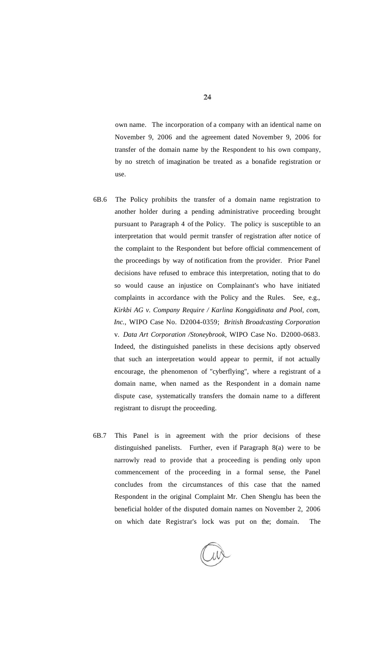own name. The incorporation of a company with an identical name on November 9, 2006 and the agreement dated November 9, 2006 for transfer of the domain name by the Respondent to his own company, by no stretch of imagination be treated as a bonafide registration or use.

- 6B.6 The Policy prohibits the transfer of a domain name registration to another holder during a pending administrative proceeding brought pursuant to Paragraph 4 of the Policy. The policy is susceptible to an interpretation that would permit transfer of registration after notice of the complaint to the Respondent but before official commencement of the proceedings by way of notification from the provider. Prior Panel decisions have refused to embrace this interpretation, noting that to do so would cause an injustice on Complainant's who have initiated complaints in accordance with the Policy and the Rules. See, e.g., *Kirkbi AG v. Company Require / Karlina Konggidinata and Pool, com, Inc.,* WIPO Case No. D2004-0359; *British Broadcasting Corporation*  v. *Data Art Corporation /Stoneybrook,* WIPO Case No. D2000-0683. Indeed, the distinguished panelists in these decisions aptly observed that such an interpretation would appear to permit, if not actually encourage, the phenomenon of "cyberflying", where a registrant of a domain name, when named as the Respondent in a domain name dispute case, systematically transfers the domain name to a different registrant to disrupt the proceeding.
- 6B.7 This Panel is in agreement with the prior decisions of these distinguished panelists. Further, even if Paragraph 8(a) were to be narrowly read to provide that a proceeding is pending only upon commencement of the proceeding in a formal sense, the Panel concludes from the circumstances of this case that the named Respondent in the original Complaint Mr. Chen Shenglu has been the beneficial holder of the disputed domain names on November 2, 2006 on which date Registrar's lock was put on the; domain. The

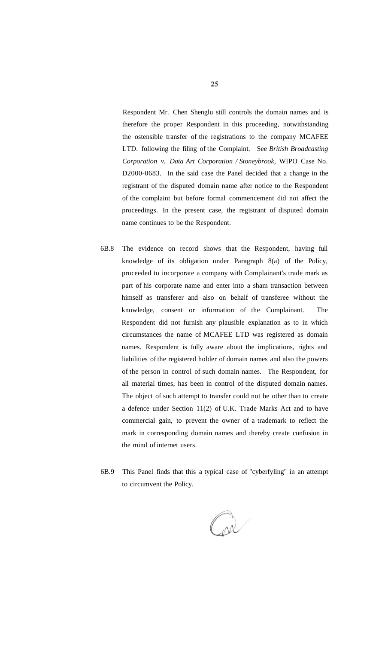Respondent Mr. Chen Shenglu still controls the domain names and is therefore the proper Respondent in this proceeding, notwithstanding the ostensible transfer of the registrations to the company MCAFEE LTD. following the filing of the Complaint. See *British Broadcasting Corporation v. Data Art Corporation / Stoneybrook,* WIPO Case No. D2000-0683. In the said case the Panel decided that a change in the registrant of the disputed domain name after notice to the Respondent of the complaint but before formal commencement did not affect the proceedings. In the present case, the registrant of disputed domain name continues to be the Respondent.

- 6B.8 The evidence on record shows that the Respondent, having full knowledge of its obligation under Paragraph 8(a) of the Policy, proceeded to incorporate a company with Complainant's trade mark as part of his corporate name and enter into a sham transaction between himself as transferer and also on behalf of transferee without the knowledge, consent or information of the Complainant. The Respondent did not furnish any plausible explanation as to in which circumstances the name of MCAFEE LTD was registered as domain names. Respondent is fully aware about the implications, rights and liabilities of the registered holder of domain names and also the powers of the person in control of such domain names. The Respondent, for all material times, has been in control of the disputed domain names. The object of such attempt to transfer could not be other than to create a defence under Section 11(2) of U.K. Trade Marks Act and to have commercial gain, to prevent the owner of a trademark to reflect the mark in corresponding domain names and thereby create confusion in the mind of internet users.
- 6B.9 This Panel finds that this a typical case of "cyberfyling" in an attempt to circumvent the Policy.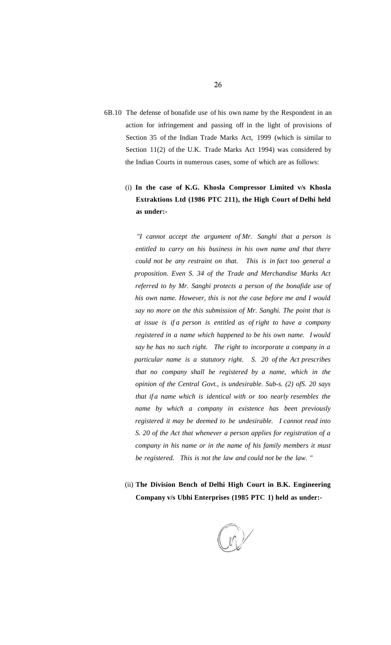6B.10 The defense of bonafide use of his own name by the Respondent in an action for infringement and passing off in the light of provisions of Section 35 of the Indian Trade Marks Act, 1999 (which is similar to Section 11(2) of the U.K. Trade Marks Act 1994) was considered by the Indian Courts in numerous cases, some of which are as follows:

# (i) **In the case of K.G. Khosla Compressor Limited v/s Khosla Extraktions Ltd (1986 PTC 211), the High Court of Delhi held as under:-**

*"I cannot accept the argument of Mr. Sanghi that a person is entitled to carry on his business in his own name and that there could not be any restraint on that. This is in fact too general a proposition. Even S. 34 of the Trade and Merchandise Marks Act referred to by Mr. Sanghi protects a person of the bonafide use of his own name. However, this is not the case before me and I would say no more on the this submission of Mr. Sanghi. The point that is at issue is if a person is entitled as of right to have a company registered in a name which happened to be his own name. I would say he has no such right. The right to incorporate a company in a particular name is a statutory right. S. 20 of the Act prescribes that no company shall be registered by a name, which in the opinion of the Central Govt., is undesirable. Sub-s. (2) ofS. 20 says that if a name which is identical with or too nearly resembles the name by which a company in existence has been previously registered it may be deemed to be undesirable. I cannot read into S. 20 of the Act that whenever a person applies for registration of a company in his name or in the name of his family members it must be registered. This is not the law and could not be the law. "* 

(ii) **The Division Bench of Delhi High Court in B.K. Engineering Company v/s Ubhi Enterprises (1985 PTC 1) held as under:-**

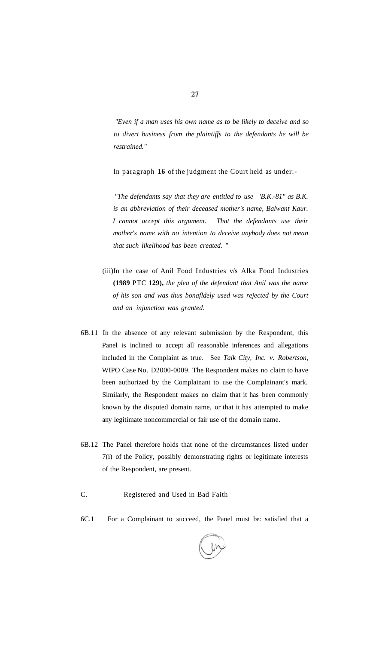*"Even if a man uses his own name as to be likely to deceive and so to divert business from the plaintiffs to the defendants he will be restrained."* 

In paragraph **16** of the judgment the Court held as under:-

*"The defendants say that they are entitled to use 'B.K.-81" as B.K. is an abbreviation of their deceased mother's name, Balwant Kaur. I cannot accept this argument. That the defendants use their mother's name with no intention to deceive anybody does not mean that such likelihood has been created. "* 

- (iii)In the case of Anil Food Industries v/s Alka Food Industries **(1989** PTC **129),** *the plea of the defendant that Anil was the name of his son and was thus bonafldely used was rejected by the Court and an injunction was granted.*
- 6B.11 In the absence of any relevant submission by the Respondent, this Panel is inclined to accept all reasonable inferences and allegations included in the Complaint as true. See *Talk City, Inc. v. Robertson,*  WIPO Case No. D2000-0009. The Respondent makes no claim to have been authorized by the Complainant to use the Complainant's mark. Similarly, the Respondent makes no claim that it has been commonly known by the disputed domain name, or that it has attempted to make any legitimate noncommercial or fair use of the domain name.
- 6B.12 The Panel therefore holds that none of the circumstances listed under 7(i) of the Policy, possibly demonstrating rights or legitimate interests of the Respondent, are present.
- C. Registered and Used in Bad Faith
- 6C.1 For a Complainant to succeed, the Panel must be: satisfied that a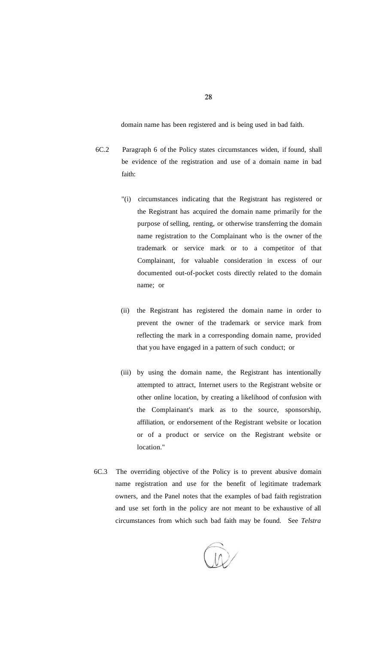domain name has been registered and is being used in bad faith.

- 6C.2 Paragraph 6 of the Policy states circumstances widen, if found, shall be evidence of the registration and use of a domain name in bad faith:
	- "(i) circumstances indicating that the Registrant has registered or the Registrant has acquired the domain name primarily for the purpose of selling, renting, or otherwise transferring the domain name registration to the Complainant who is the owner of the trademark or service mark or to a competitor of that Complainant, for valuable consideration in excess of our documented out-of-pocket costs directly related to the domain name; or
	- (ii) the Registrant has registered the domain name in order to prevent the owner of the trademark or service mark from reflecting the mark in a corresponding domain name, provided that you have engaged in a pattern of such conduct; or
	- (iii) by using the domain name, the Registrant has intentionally attempted to attract, Internet users to the Registrant website or other online location, by creating a likelihood of confusion with the Complainant's mark as to the source, sponsorship, affiliation, or endorsement of the Registrant website or location or of a product or service on the Registrant website or location."
- 6C.3 The overriding objective of the Policy is to prevent abusive domain name registration and use for the benefit of legitimate trademark owners, and the Panel notes that the examples of bad faith registration and use set forth in the policy are not meant to be exhaustive of all circumstances from which such bad faith may be found. See *Telstra*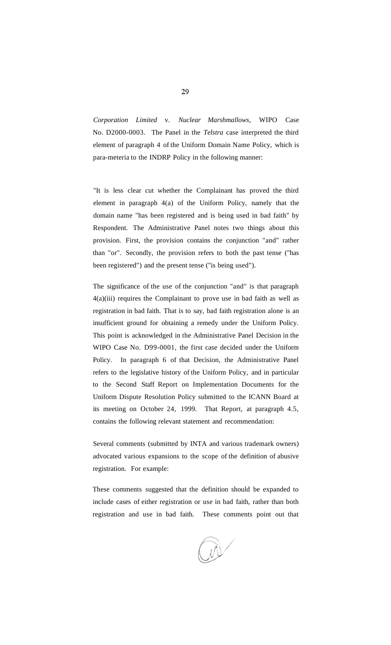*Corporation Limited* v. *Nuclear Marshmallows,* WIPO Case No. D2000-0003. The Panel in the *Telstra* case interpreted the third element of paragraph 4 of the Uniform Domain Name Policy, which is para-meteria to the INDRP Policy in the following manner:

"It is less clear cut whether the Complainant has proved the third element in paragraph 4(a) of the Uniform Policy, namely that the domain name "has been registered and is being used in bad faith" by Respondent. The Administrative Panel notes two things about this provision. First, the provision contains the conjunction "and" rather than "or". Secondly, the provision refers to both the past tense ("has been registered") and the present tense ("is being used").

The significance of the use of the conjunction "and" is that paragraph 4(a)(iii) requires the Complainant to prove use in bad faith as well as registration in bad faith. That is to say, bad faith registration alone is an insufficient ground for obtaining a remedy under the Uniform Policy. This point is acknowledged in the Administrative Panel Decision in the WIPO Case No. D99-0001, the first case decided under the Uniform Policy. In paragraph 6 of that Decision, the Administrative Panel refers to the legislative history of the Uniform Policy, and in particular to the Second Staff Report on Implementation Documents for the Uniform Dispute Resolution Policy submitted to the ICANN Board at its meeting on October 24, 1999. That Report, at paragraph 4.5, contains the following relevant statement and recommendation:

Several comments (submitted by INTA and various trademark owners) advocated various expansions to the scope of the definition of abusive registration. For example:

These comments suggested that the definition should be expanded to include cases of either registration or use in bad faith, rather than both registration and use in bad faith. These comments point out that

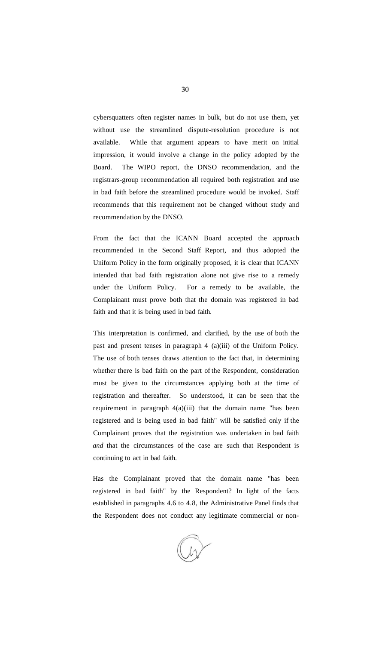cybersquatters often register names in bulk, but do not use them, yet without use the streamlined dispute-resolution procedure is not available. While that argument appears to have merit on initial impression, it would involve a change in the policy adopted by the Board. The WIPO report, the DNSO recommendation, and the registrars-group recommendation all required both registration and use in bad faith before the streamlined procedure would be invoked. Staff recommends that this requirement not be changed without study and recommendation by the DNSO.

From the fact that the ICANN Board accepted the approach recommended in the Second Staff Report, and thus adopted the Uniform Policy in the form originally proposed, it is clear that ICANN intended that bad faith registration alone not give rise to a remedy under the Uniform Policy. For a remedy to be available, the Complainant must prove both that the domain was registered in bad faith and that it is being used in bad faith.

This interpretation is confirmed, and clarified, by the use of both the past and present tenses in paragraph 4 (a)(iii) of the Uniform Policy. The use of both tenses draws attention to the fact that, in determining whether there is bad faith on the part of the Respondent, consideration must be given to the circumstances applying both at the time of registration and thereafter. So understood, it can be seen that the requirement in paragraph  $4(a)(iii)$  that the domain name "has been registered and is being used in bad faith" will be satisfied only if the Complainant proves that the registration was undertaken in bad faith *and* that the circumstances of the case are such that Respondent is continuing to act in bad faith.

Has the Complainant proved that the domain name "has been registered in bad faith" by the Respondent? In light of the facts established in paragraphs 4.6 to 4.8, the Administrative Panel finds that the Respondent does not conduct any legitimate commercial or non-

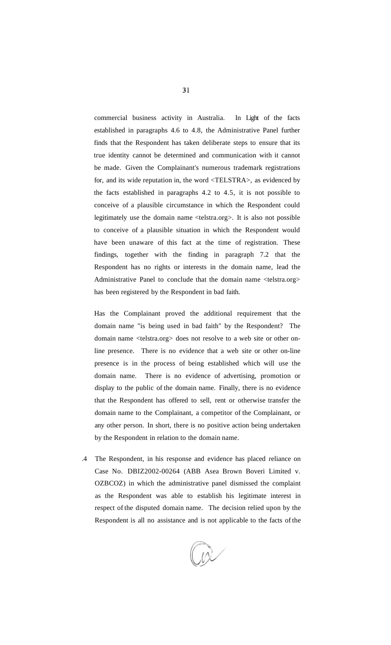commercial business activity in Australia. In Light of the facts established in paragraphs 4.6 to 4.8, the Administrative Panel further finds that the Respondent has taken deliberate steps to ensure that its true identity cannot be determined and communication with it cannot be made. Given the Complainant's numerous trademark registrations for, and its wide reputation in, the word <TELSTRA>, as evidenced by the facts established in paragraphs 4.2 to 4.5, it is not possible to conceive of a plausible circumstance in which the Respondent could legitimately use the domain name <telstra.org>. It is also not possible to conceive of a plausible situation in which the Respondent would have been unaware of this fact at the time of registration. These findings, together with the finding in paragraph 7.2 that the Respondent has no rights or interests in the domain name, lead the Administrative Panel to conclude that the domain name <telstra.org> has been registered by the Respondent in bad faith.

Has the Complainant proved the additional requirement that the domain name "is being used in bad faith" by the Respondent? The domain name <telstra.org> does not resolve to a web site or other online presence. There is no evidence that a web site or other on-line presence is in the process of being established which will use the domain name. There is no evidence of advertising, promotion or display to the public of the domain name. Finally, there is no evidence that the Respondent has offered to sell, rent or otherwise transfer the domain name to the Complainant, a competitor of the Complainant, or any other person. In short, there is no positive action being undertaken by the Respondent in relation to the domain name.

.4 The Respondent, in his response and evidence has placed reliance on Case No. DBIZ2002-00264 (ABB Asea Brown Boveri Limited v. OZBCOZ) in which the administrative panel dismissed the complaint as the Respondent was able to establish his legitimate interest in respect of the disputed domain name. The decision relied upon by the Respondent is all no assistance and is not applicable to the facts of the

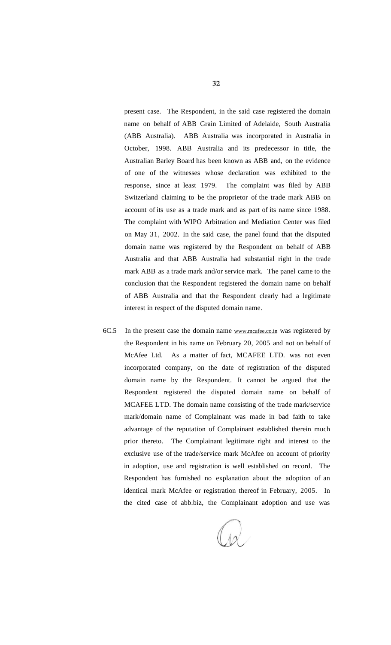present case. The Respondent, in the said case registered the domain name on behalf of ABB Grain Limited of Adelaide, South Australia (ABB Australia). ABB Australia was incorporated in Australia in October, 1998. ABB Australia and its predecessor in title, the Australian Barley Board has been known as ABB and, on the evidence of one of the witnesses whose declaration was exhibited to the response, since at least 1979. The complaint was filed by ABB Switzerland claiming to be the proprietor of the trade mark ABB on account of its use as a trade mark and as part of its name since 1988. The complaint with WIPO Arbitration and Mediation Center was filed on May 31, 2002. In the said case, the panel found that the disputed domain name was registered by the Respondent on behalf of ABB Australia and that ABB Australia had substantial right in the trade mark ABB as a trade mark and/or service mark. The panel came to the conclusion that the Respondent registered the domain name on behalf of ABB Australia and that the Respondent clearly had a legitimate interest in respect of the disputed domain name.

6C.5 In the present case the domain name [www.mcafee.co.in](http://www.mcafee.co.in) was registered by the Respondent in his name on February 20, 2005 and not on behalf of McAfee Ltd. As a matter of fact, MCAFEE LTD. was not even incorporated company, on the date of registration of the disputed domain name by the Respondent. It cannot be argued that the Respondent registered the disputed domain name on behalf of MCAFEE LTD. The domain name consisting of the trade mark/service mark/domain name of Complainant was made in bad faith to take advantage of the reputation of Complainant established therein much prior thereto. The Complainant legitimate right and interest to the exclusive use of the trade/service mark McAfee on account of priority in adoption, use and registration is well established on record. The Respondent has furnished no explanation about the adoption of an identical mark McAfee or registration thereof in February, 2005. In the cited case of abb.biz, the Complainant adoption and use was

 $\overline{12}$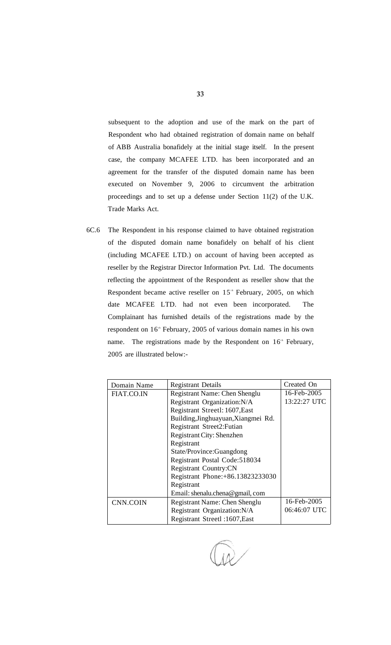subsequent to the adoption and use of the mark on the part of Respondent who had obtained registration of domain name on behalf of ABB Australia bonafidely at the initial stage itself. In the present case, the company MCAFEE LTD. has been incorporated and an agreement for the transfer of the disputed domain name has been executed on November 9, 2006 to circumvent the arbitration proceedings and to set up a defense under Section 11(2) of the U.K. Trade Marks Act.

6C.6 The Respondent in his response claimed to have obtained registration of the disputed domain name bonafidely on behalf of his client (including MCAFEE LTD.) on account of having been accepted as reseller by the Registrar Director Information Pvt. Ltd. The documents reflecting the appointment of the Respondent as reseller show that the Respondent became active reseller on  $15<sup>th</sup>$  February, 2005, on which date MCAFEE LTD. had not even been incorporated. The Complainant has furnished details of the registrations made by the respondent on 16<sup>th</sup> February, 2005 of various domain names in his own name. The registrations made by the Respondent on  $16<sup>th</sup>$  February, 2005 are illustrated below:-

| Domain Name | <b>Registrant Details</b>           | Created On   |
|-------------|-------------------------------------|--------------|
| FIAT.CO.IN  | Registrant Name: Chen Shenglu       | 16-Feb-2005  |
|             | Registrant Organization: N/A        | 13:22:27 UTC |
|             | Registrant Streetl: 1607, East      |              |
|             | Building, Jinghuayuan, Xiangmei Rd. |              |
|             | Registrant Street2: Futian          |              |
|             | Registrant City: Shenzhen           |              |
|             | Registrant                          |              |
|             | State/Province:Guangdong            |              |
|             | Registrant Postal Code: 518034      |              |
|             | <b>Registrant Country:CN</b>        |              |
|             | Registrant Phone: +86.13823233030   |              |
|             | Registrant                          |              |
|             | Email: shenalu.chena@gmail, com     |              |
| CNN.COIN    | Registrant Name: Chen Shenglu       | 16-Feb-2005  |
|             | Registrant Organization: N/A        | 06:46:07 UTC |
|             | Registrant Streetl: 1607, East      |              |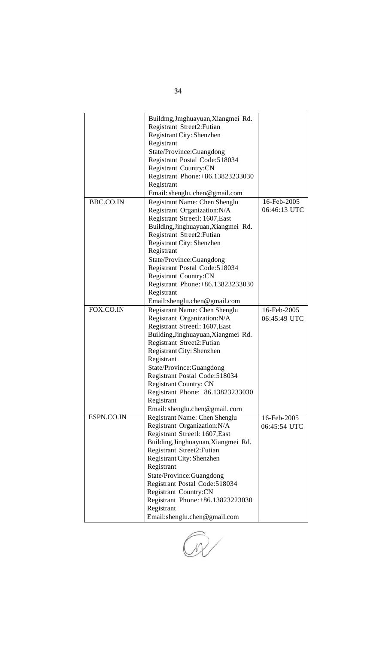|            | Buildmg, Jmghuayuan, Xiangmei Rd.<br>Registrant Street2: Futian<br>Registrant City: Shenzhen<br>Registrant<br>State/Province:Guangdong<br>Registrant Postal Code: 518034<br>Registrant Country:CN<br>Registrant Phone: +86.13823233030<br>Registrant<br>Email: shenglu. chen@gmail.com                                                                                                             |                             |
|------------|----------------------------------------------------------------------------------------------------------------------------------------------------------------------------------------------------------------------------------------------------------------------------------------------------------------------------------------------------------------------------------------------------|-----------------------------|
| BBC.CO.IN  | Registrant Name: Chen Shenglu<br>Registrant Organization: N/A<br>Registrant Streetl: 1607, East<br>Building, Jinghuayuan, Xiangmei Rd.<br>Registrant Street2: Futian<br>Registrant City: Shenzhen<br>Registrant<br>State/Province:Guangdong<br>Registrant Postal Code: 518034<br>Registrant Country:CN<br>Registrant Phone: +86.13823233030<br>Registrant<br>Email:shenglu.chen@gmail.com          | 16-Feb-2005<br>06:46:13 UTC |
| FOX.CO.IN  | Registrant Name: Chen Shenglu<br>Registrant Organization: N/A<br>Registrant Streetl: 1607, East<br>Building, Jinghuayuan, Xiangmei Rd.<br>Registrant Street2: Futian<br>Registrant City: Shenzhen<br>Registrant<br>State/Province:Guangdong<br>Registrant Postal Code:518034<br><b>Registrant Country: CN</b><br>Registrant Phone: +86.13823233030<br>Registrant<br>Email: shenglu.chen@gmail.corn | 16-Feb-2005<br>06:45:49 UTC |
| ESPN.CO.IN | Registrant Name: Chen Shenglu<br>Registrant Organization: N/A<br>Registrant Streetl: 1607, East<br>Building, Jinghuayuan, Xiangmei Rd.<br>Registrant Street2: Futian<br>Registrant City: Shenzhen<br>Registrant<br>State/Province:Guangdong<br>Registrant Postal Code: 518034<br><b>Registrant Country:CN</b><br>Registrant Phone: +86.13823223030<br>Registrant<br>Email:shenglu.chen@gmail.com   | 16-Feb-2005<br>06:45:54 UTC |

34

 $\overline{1}$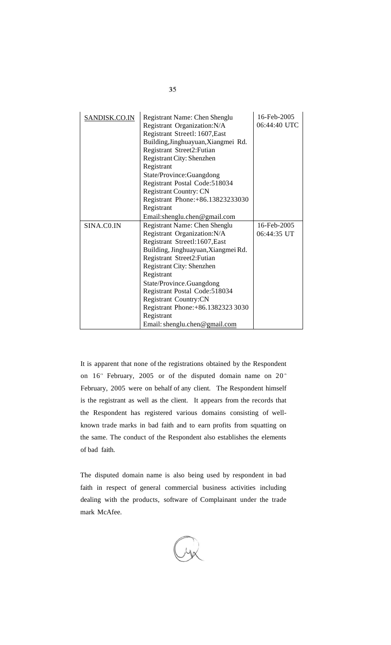| SANDISK.CO.IN | Registrant Name: Chen Shenglu<br>Registrant Organization: N/A<br>Registrant Streetl: 1607, East<br>Building, Jinghuayuan, Xiangmei Rd.<br>Registrant Street2: Futian<br>Registrant City: Shenzhen<br>Registrant<br>State/Province:Guangdong<br>Registrant Postal Code:518034                                                                                                                     | 16-Feb-2005<br>06:44:40 UTC |
|---------------|--------------------------------------------------------------------------------------------------------------------------------------------------------------------------------------------------------------------------------------------------------------------------------------------------------------------------------------------------------------------------------------------------|-----------------------------|
|               | <b>Registrant Country: CN</b><br>Registrant Phone: +86.13823233030<br>Registrant<br>Email:shenglu.chen@gmail.com                                                                                                                                                                                                                                                                                 |                             |
| SINA.CO.IN    | Registrant Name: Chen Shenglu<br>Registrant Organization: N/A<br>Registrant Streetl:1607, East<br>Building, Jinghuayuan, Xiangmei Rd.<br>Registrant Street2: Futian<br><b>Registrant City: Shenzhen</b><br>Registrant<br>State/Province.Guangdong<br>Registrant Postal Code:518034<br>Registrant Country:CN<br>Registrant Phone: +86.1382323 3030<br>Registrant<br>Email: shenglu.chen@gmail.com | 16-Feb-2005<br>06:44:35 UT  |

It is apparent that none of the registrations obtained by the Respondent on  $16<sup>th</sup>$  February, 2005 or of the disputed domain name on  $20<sup>th</sup>$ February, 2005 were on behalf of any client. The Respondent himself is the registrant as well as the client. It appears from the records that the Respondent has registered various domains consisting of wellknown trade marks in bad faith and to earn profits from squatting on the same. The conduct of the Respondent also establishes the elements of bad faith.

The disputed domain name is also being used by respondent in bad faith in respect of general commercial business activities including dealing with the products, software of Complainant under the trade mark McAfee.